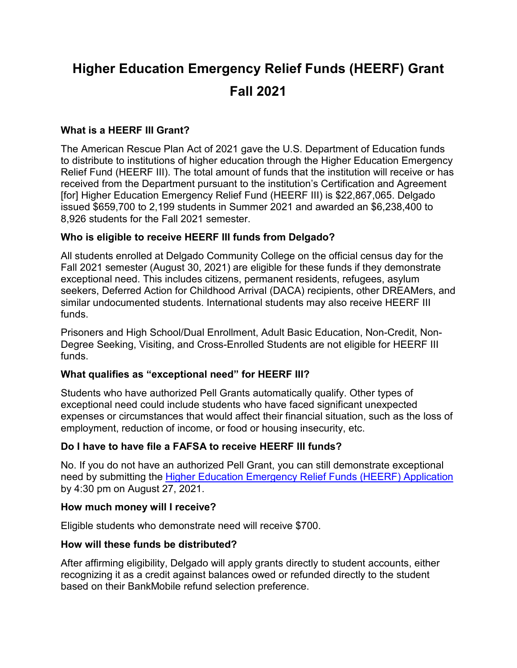# **Higher Education Emergency Relief Funds (HEERF) Grant Fall 2021**

## **What is a HEERF III Grant?**

The American Rescue Plan Act of 2021 gave the U.S. Department of Education funds to distribute to institutions of higher education through the Higher Education Emergency Relief Fund (HEERF III). The total amount of funds that the institution will receive or has received from the Department pursuant to the institution's Certification and Agreement [for] Higher Education Emergency Relief Fund (HEERF III) is \$22,867,065. Delgado issued \$659,700 to 2,199 students in Summer 2021 and awarded an \$6,238,400 to 8,926 students for the Fall 2021 semester.

## **Who is eligible to receive HEERF III funds from Delgado?**

All students enrolled at Delgado Community College on the official census day for the Fall 2021 semester (August 30, 2021) are eligible for these funds if they demonstrate exceptional need. This includes citizens, permanent residents, refugees, asylum seekers, Deferred Action for Childhood Arrival (DACA) recipients, other DREAMers, and similar undocumented students. International students may also receive HEERF III funds.

Prisoners and High School/Dual Enrollment, Adult Basic Education, Non-Credit, Non-Degree Seeking, Visiting, and Cross-Enrolled Students are not eligible for HEERF III funds.

## **What qualifies as "exceptional need" for HEERF III?**

Students who have authorized Pell Grants automatically qualify. Other types of exceptional need could include students who have faced significant unexpected expenses or circumstances that would affect their financial situation, such as the loss of employment, reduction of income, or food or housing insecurity, etc.

## **Do I have to have file a FAFSA to receive HEERF III funds?**

No. If you do not have an authorized Pell Grant, you can still demonstrate exceptional need by submitting the [Higher Education Emergency Relief Funds \(HEERF\) Application](https://form.jotform.com/212234406331139) by 4:30 pm on August 27, 2021.

## **How much money will I receive?**

Eligible students who demonstrate need will receive \$700.

## **How will these funds be distributed?**

After affirming eligibility, Delgado will apply grants directly to student accounts, either recognizing it as a credit against balances owed or refunded directly to the student based on their BankMobile refund selection preference.